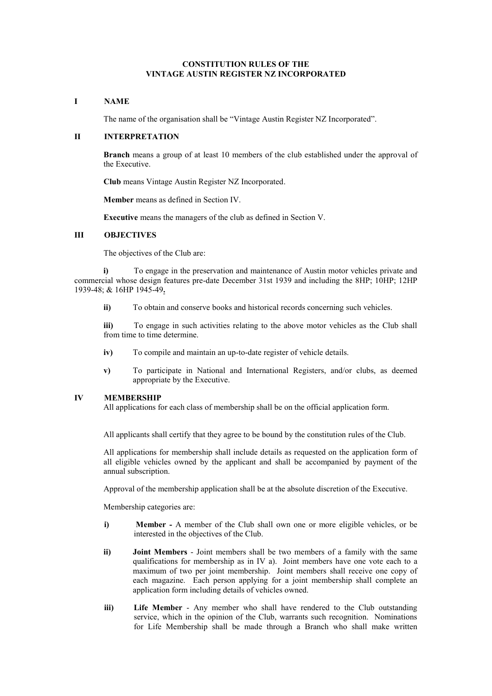# **CONSTITUTION RULES OF THE VINTAGE AUSTIN REGISTER NZ INCORPORATED**

## **I NAME**

The name of the organisation shall be "Vintage Austin Register NZ Incorporated".

### **II INTERPRETATION**

**Branch** means a group of at least 10 members of the club established under the approval of the Executive.

**Club** means Vintage Austin Register NZ Incorporated.

**Member** means as defined in Section IV.

**Executive** means the managers of the club as defined in Section V.

### **III OBJECTIVES**

The objectives of the Club are:

 **i)** To engage in the preservation and maintenance of Austin motor vehicles private and commercial whose design features pre-date December 31st 1939 and including the 8HP; 10HP; 12HP 1939-48; & 16HP 1945-49**.**

**ii)** To obtain and conserve books and historical records concerning such vehicles.

**iii)** To engage in such activities relating to the above motor vehicles as the Club shall from time to time determine.

- **iv)** To compile and maintain an up-to-date register of vehicle details.
- **v)** To participate in National and International Registers, and/or clubs, as deemed appropriate by the Executive.

### **IV MEMBERSHIP**

All applications for each class of membership shall be on the official application form.

All applicants shall certify that they agree to be bound by the constitution rules of the Club.

All applications for membership shall include details as requested on the application form of all eligible vehicles owned by the applicant and shall be accompanied by payment of the annual subscription.

Approval of the membership application shall be at the absolute discretion of the Executive.

Membership categories are:

- **i) Member -** A member of the Club shall own one or more eligible vehicles, or be interested in the objectives of the Club.
- **ii) Joint Members** Joint members shall be two members of a family with the same qualifications for membership as in IV a). Joint members have one vote each to a maximum of two per joint membership. Joint members shall receive one copy of each magazine. Each person applying for a joint membership shall complete an application form including details of vehicles owned.
- **iii)** Life Member Any member who shall have rendered to the Club outstanding service, which in the opinion of the Club, warrants such recognition. Nominations for Life Membership shall be made through a Branch who shall make written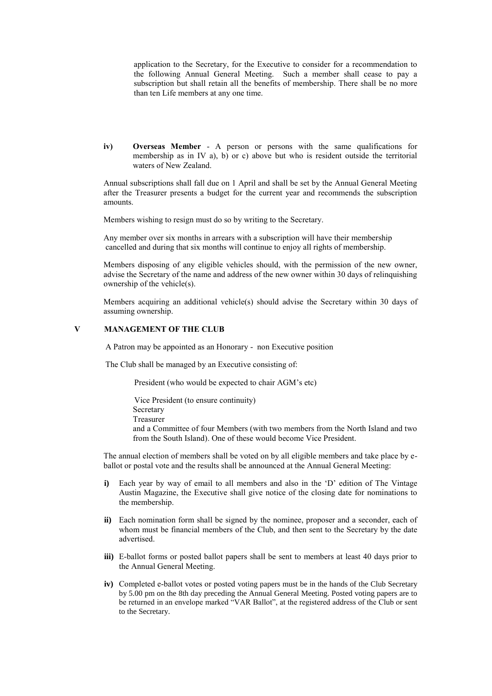application to the Secretary, for the Executive to consider for a recommendation to the following Annual General Meeting. Such a member shall cease to pay a subscription but shall retain all the benefits of membership. There shall be no more than ten Life members at any one time.

**iv) Overseas Member** - A person or persons with the same qualifications for membership as in IV a), b) or c) above but who is resident outside the territorial waters of New Zealand.

Annual subscriptions shall fall due on 1 April and shall be set by the Annual General Meeting after the Treasurer presents a budget for the current year and recommends the subscription amounts.

Members wishing to resign must do so by writing to the Secretary.

Any member over six months in arrears with a subscription will have their membership cancelled and during that six months will continue to enjoy all rights of membership.

Members disposing of any eligible vehicles should, with the permission of the new owner, advise the Secretary of the name and address of the new owner within 30 days of relinquishing ownership of the vehicle(s).

Members acquiring an additional vehicle(s) should advise the Secretary within 30 days of assuming ownership.

## **V MANAGEMENT OF THE CLUB**

A Patron may be appointed as an Honorary - non Executive position

The Club shall be managed by an Executive consisting of:

President (who would be expected to chair AGM's etc)

 Vice President (to ensure continuity) Secretary Treasurer and a Committee of four Members (with two members from the North Island and two from the South Island). One of these would become Vice President.

The annual election of members shall be voted on by all eligible members and take place by eballot or postal vote and the results shall be announced at the Annual General Meeting:

- **i)** Each year by way of email to all members and also in the 'D' edition of The Vintage Austin Magazine, the Executive shall give notice of the closing date for nominations to the membership.
- **ii)** Each nomination form shall be signed by the nominee, proposer and a seconder, each of whom must be financial members of the Club, and then sent to the Secretary by the date advertised.
- **iii)** E-ballot forms or posted ballot papers shall be sent to members at least 40 days prior to the Annual General Meeting.
- **iv)** Completed e-ballot votes or posted voting papers must be in the hands of the Club Secretary by 5.00 pm on the 8th day preceding the Annual General Meeting. Posted voting papers are to be returned in an envelope marked "VAR Ballot", at the registered address of the Club or sent to the Secretary.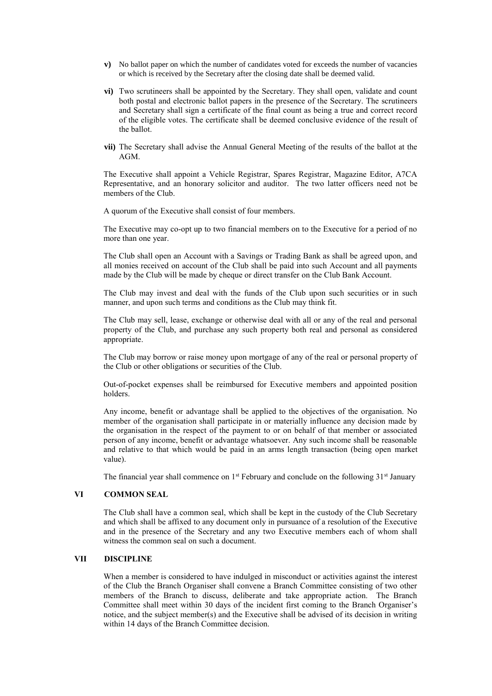- **v)** No ballot paper on which the number of candidates voted for exceeds the number of vacancies or which is received by the Secretary after the closing date shall be deemed valid.
- **vi)** Two scrutineers shall be appointed by the Secretary. They shall open, validate and count both postal and electronic ballot papers in the presence of the Secretary. The scrutineers and Secretary shall sign a certificate of the final count as being a true and correct record of the eligible votes. The certificate shall be deemed conclusive evidence of the result of the ballot.
- **vii)** The Secretary shall advise the Annual General Meeting of the results of the ballot at the AGM.

The Executive shall appoint a Vehicle Registrar, Spares Registrar, Magazine Editor, A7CA Representative, and an honorary solicitor and auditor. The two latter officers need not be members of the Club.

A quorum of the Executive shall consist of four members.

The Executive may co-opt up to two financial members on to the Executive for a period of no more than one year.

The Club shall open an Account with a Savings or Trading Bank as shall be agreed upon, and all monies received on account of the Club shall be paid into such Account and all payments made by the Club will be made by cheque or direct transfer on the Club Bank Account.

The Club may invest and deal with the funds of the Club upon such securities or in such manner, and upon such terms and conditions as the Club may think fit.

The Club may sell, lease, exchange or otherwise deal with all or any of the real and personal property of the Club, and purchase any such property both real and personal as considered appropriate.

The Club may borrow or raise money upon mortgage of any of the real or personal property of the Club or other obligations or securities of the Club.

Out-of-pocket expenses shall be reimbursed for Executive members and appointed position holders.

Any income, benefit or advantage shall be applied to the objectives of the organisation. No member of the organisation shall participate in or materially influence any decision made by the organisation in the respect of the payment to or on behalf of that member or associated person of any income, benefit or advantage whatsoever. Any such income shall be reasonable and relative to that which would be paid in an arms length transaction (being open market value).

The financial year shall commence on  $1<sup>st</sup>$  February and conclude on the following  $31<sup>st</sup>$  January

## **VI COMMON SEAL**

The Club shall have a common seal, which shall be kept in the custody of the Club Secretary and which shall be affixed to any document only in pursuance of a resolution of the Executive and in the presence of the Secretary and any two Executive members each of whom shall witness the common seal on such a document.

# **VII DISCIPLINE**

When a member is considered to have indulged in misconduct or activities against the interest of the Club the Branch Organiser shall convene a Branch Committee consisting of two other members of the Branch to discuss, deliberate and take appropriate action. The Branch Committee shall meet within 30 days of the incident first coming to the Branch Organiser's notice, and the subject member(s) and the Executive shall be advised of its decision in writing within 14 days of the Branch Committee decision.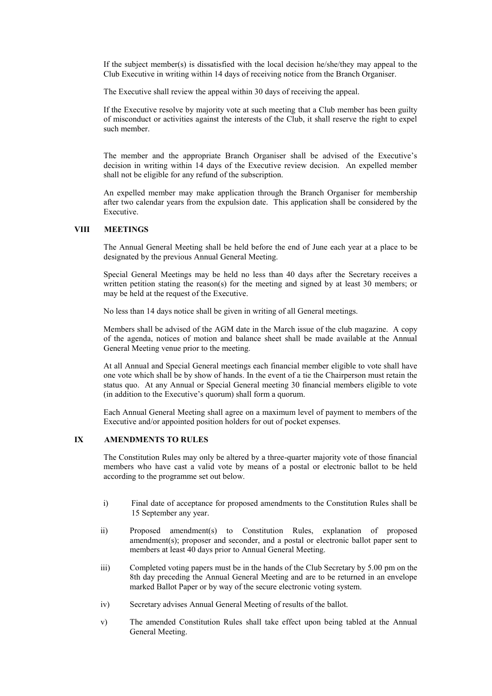If the subject member(s) is dissatisfied with the local decision he/she/they may appeal to the Club Executive in writing within 14 days of receiving notice from the Branch Organiser.

The Executive shall review the appeal within 30 days of receiving the appeal.

If the Executive resolve by majority vote at such meeting that a Club member has been guilty of misconduct or activities against the interests of the Club, it shall reserve the right to expel such member.

The member and the appropriate Branch Organiser shall be advised of the Executive's decision in writing within 14 days of the Executive review decision. An expelled member shall not be eligible for any refund of the subscription.

An expelled member may make application through the Branch Organiser for membership after two calendar years from the expulsion date. This application shall be considered by the Executive.

## **VIII MEETINGS**

The Annual General Meeting shall be held before the end of June each year at a place to be designated by the previous Annual General Meeting.

Special General Meetings may be held no less than 40 days after the Secretary receives a written petition stating the reason(s) for the meeting and signed by at least 30 members; or may be held at the request of the Executive.

No less than 14 days notice shall be given in writing of all General meetings.

Members shall be advised of the AGM date in the March issue of the club magazine. A copy of the agenda, notices of motion and balance sheet shall be made available at the Annual General Meeting venue prior to the meeting.

At all Annual and Special General meetings each financial member eligible to vote shall have one vote which shall be by show of hands. In the event of a tie the Chairperson must retain the status quo. At any Annual or Special General meeting 30 financial members eligible to vote (in addition to the Executive's quorum) shall form a quorum.

Each Annual General Meeting shall agree on a maximum level of payment to members of the Executive and/or appointed position holders for out of pocket expenses.

# **IX AMENDMENTS TO RULES**

The Constitution Rules may only be altered by a three-quarter majority vote of those financial members who have cast a valid vote by means of a postal or electronic ballot to be held according to the programme set out below.

- i) Final date of acceptance for proposed amendments to the Constitution Rules shall be 15 September any year.
- ii) Proposed amendment(s) to Constitution Rules, explanation of proposed  $a$ mendment(s); proposer and seconder, and a postal or electronic ballot paper sent to members at least 40 days prior to Annual General Meeting.
- iii) Completed voting papers must be in the hands of the Club Secretary by 5.00 pm on the 8th day preceding the Annual General Meeting and are to be returned in an envelope marked Ballot Paper or by way of the secure electronic voting system.
- iv) Secretary advises Annual General Meeting of results of the ballot.
- v) The amended Constitution Rules shall take effect upon being tabled at the Annual General Meeting.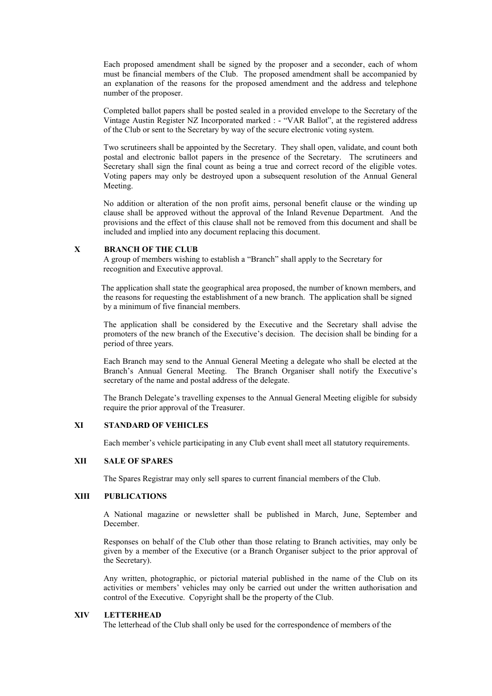Each proposed amendment shall be signed by the proposer and a seconder, each of whom must be financial members of the Club. The proposed amendment shall be accompanied by an explanation of the reasons for the proposed amendment and the address and telephone number of the proposer.

Completed ballot papers shall be posted sealed in a provided envelope to the Secretary of the Vintage Austin Register NZ Incorporated marked : - "VAR Ballot", at the registered address of the Club or sent to the Secretary by way of the secure electronic voting system.

Two scrutineers shall be appointed by the Secretary.They shall open, validate, and count both postal and electronic ballot papers in the presence of the Secretary. The scrutineers and Secretary shall sign the final count as being a true and correct record of the eligible votes. Voting papers may only be destroyed upon a subsequent resolution of the Annual General Meeting.

No addition or alteration of the non profit aims, personal benefit clause or the winding up clause shall be approved without the approval of the Inland Revenue Department. And the provisions and the effect of this clause shall not be removed from this document and shall be included and implied into any document replacing this document.

# **X BRANCH OF THE CLUB**

 A group of members wishing to establish a "Branch" shall apply to the Secretary for recognition and Executive approval.

 The application shall state the geographical area proposed, the number of known members, and the reasons for requesting the establishment of a new branch. The application shall be signed by a minimum of five financial members.

The application shall be considered by the Executive and the Secretary shall advise the promoters of the new branch of the Executive's decision. The decision shall be binding for a period of three years.

Each Branch may send to the Annual General Meeting a delegate who shall be elected at the Branch's Annual General Meeting. The Branch Organiser shall notify the Executive's secretary of the name and postal address of the delegate.

The Branch Delegate's travelling expenses to the Annual General Meeting eligible for subsidy require the prior approval of the Treasurer.

### **XI STANDARD OF VEHICLES**

Each member's vehicle participating in any Club event shall meet all statutory requirements.

# **XII SALE OF SPARES**

The Spares Registrar may only sell spares to current financial members of the Club.

### **XIII PUBLICATIONS**

A National magazine or newsletter shall be published in March, June, September and December.

Responses on behalf of the Club other than those relating to Branch activities, may only be given by a member of the Executive (or a Branch Organiser subject to the prior approval of the Secretary).

Any written, photographic, or pictorial material published in the name of the Club on its activities or members' vehicles may only be carried out under the written authorisation and control of the Executive. Copyright shall be the property of the Club.

### **XIV LETTERHEAD**

The letterhead of the Club shall only be used for the correspondence of members of the